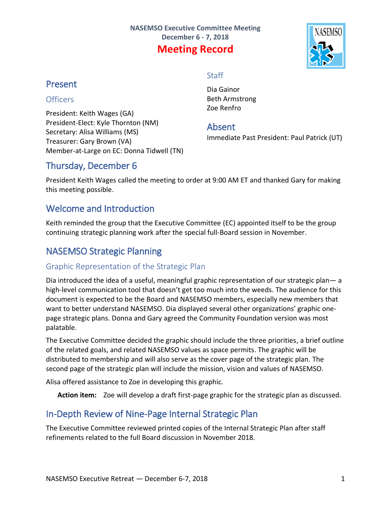

## Present

### **Officers**

President: Keith Wages (GA) President-Elect: Kyle Thornton (NM) Secretary: Alisa Williams (MS) Treasurer: Gary Brown (VA) Member-at-Large on EC: Donna Tidwell (TN)

# **Staff**

Dia Gainor Beth Armstrong Zoe Renfro

### Absent

Immediate Past President: Paul Patrick (UT)

## Thursday, December 6

President Keith Wages called the meeting to order at 9:00 AM ET and thanked Gary for making this meeting possible.

## Welcome and Introduction

Keith reminded the group that the Executive Committee (EC) appointed itself to be the group continuing strategic planning work after the special full-Board session in November.

## NASEMSO Strategic Planning

### Graphic Representation of the Strategic Plan

Dia introduced the idea of a useful, meaningful graphic representation of our strategic plan— a high-level communication tool that doesn't get too much into the weeds. The audience for this document is expected to be the Board and NASEMSO members, especially new members that want to better understand NASEMSO. Dia displayed several other organizations' graphic onepage strategic plans. Donna and Gary agreed the Community Foundation version was most palatable.

The Executive Committee decided the graphic should include the three priorities, a brief outline of the related goals, and related NASEMSO values as space permits. The graphic will be distributed to membership and will also serve as the cover page of the strategic plan. The second page of the strategic plan will include the mission, vision and values of NASEMSO.

Alisa offered assistance to Zoe in developing this graphic.

**Action item:** Zoe will develop a draft first-page graphic for the strategic plan as discussed.

## In-Depth Review of Nine-Page Internal Strategic Plan

The Executive Committee reviewed printed copies of the Internal Strategic Plan after staff refinements related to the full Board discussion in November 2018.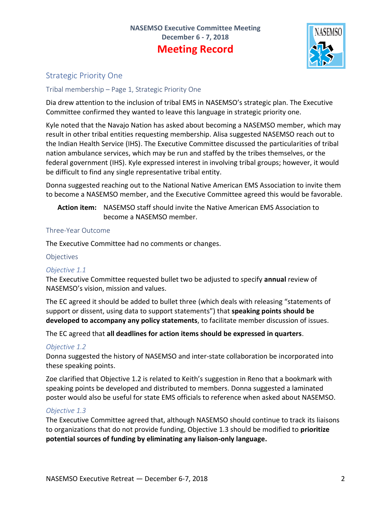

### Strategic Priority One

### Tribal membership – Page 1, Strategic Priority One

Dia drew attention to the inclusion of tribal EMS in NASEMSO's strategic plan. The Executive Committee confirmed they wanted to leave this language in strategic priority one.

Kyle noted that the Navajo Nation has asked about becoming a NASEMSO member, which may result in other tribal entities requesting membership. Alisa suggested NASEMSO reach out to the Indian Health Service (IHS). The Executive Committee discussed the particularities of tribal nation ambulance services, which may be run and staffed by the tribes themselves, or the federal government (IHS). Kyle expressed interest in involving tribal groups; however, it would be difficult to find any single representative tribal entity.

Donna suggested reaching out to the National Native American EMS Association to invite them to become a NASEMSO member, and the Executive Committee agreed this would be favorable.

**Action item:** NASEMSO staff should invite the Native American EMS Association to become a NASEMSO member.

#### Three-Year Outcome

The Executive Committee had no comments or changes.

#### **Objectives**

#### *Objective 1.1*

The Executive Committee requested bullet two be adjusted to specify **annual** review of NASEMSO's vision, mission and values.

The EC agreed it should be added to bullet three (which deals with releasing "statements of support or dissent, using data to support statements") that **speaking points should be developed to accompany any policy statements**, to facilitate member discussion of issues.

The EC agreed that **all deadlines for action items should be expressed in quarters**.

#### *Objective 1.2*

Donna suggested the history of NASEMSO and inter-state collaboration be incorporated into these speaking points.

Zoe clarified that Objective 1.2 is related to Keith's suggestion in Reno that a bookmark with speaking points be developed and distributed to members. Donna suggested a laminated poster would also be useful for state EMS officials to reference when asked about NASEMSO.

#### *Objective 1.3*

The Executive Committee agreed that, although NASEMSO should continue to track its liaisons to organizations that do not provide funding, Objective 1.3 should be modified to **prioritize potential sources of funding by eliminating any liaison-only language.**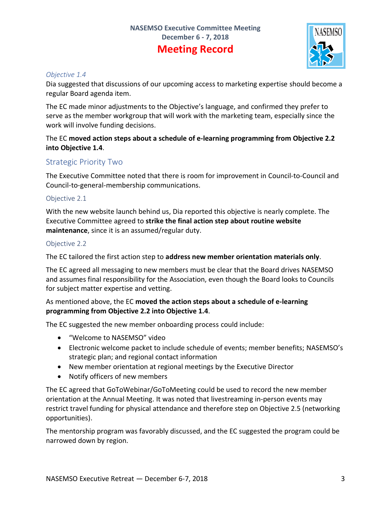

#### *Objective 1.4*

Dia suggested that discussions of our upcoming access to marketing expertise should become a regular Board agenda item.

The EC made minor adjustments to the Objective's language, and confirmed they prefer to serve as the member workgroup that will work with the marketing team, especially since the work will involve funding decisions.

### The EC **moved action steps about a schedule of e-learning programming from Objective 2.2 into Objective 1.4**.

### Strategic Priority Two

The Executive Committee noted that there is room for improvement in Council-to-Council and Council-to-general-membership communications.

### Objective 2.1

With the new website launch behind us, Dia reported this objective is nearly complete. The Executive Committee agreed to **strike the final action step about routine website maintenance**, since it is an assumed/regular duty.

### Objective 2.2

The EC tailored the first action step to **address new member orientation materials only**.

The EC agreed all messaging to new members must be clear that the Board drives NASEMSO and assumes final responsibility for the Association, even though the Board looks to Councils for subject matter expertise and vetting.

### As mentioned above, the EC **moved the action steps about a schedule of e-learning programming from Objective 2.2 into Objective 1.4**.

The EC suggested the new member onboarding process could include:

- "Welcome to NASEMSO" video
- Electronic welcome packet to include schedule of events; member benefits; NASEMSO's strategic plan; and regional contact information
- New member orientation at regional meetings by the Executive Director
- Notify officers of new members

The EC agreed that GoToWebinar/GoToMeeting could be used to record the new member orientation at the Annual Meeting. It was noted that livestreaming in-person events may restrict travel funding for physical attendance and therefore step on Objective 2.5 (networking opportunities).

The mentorship program was favorably discussed, and the EC suggested the program could be narrowed down by region.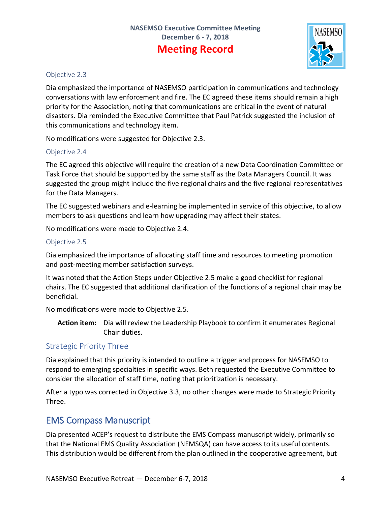

#### Objective 2.3

Dia emphasized the importance of NASEMSO participation in communications and technology conversations with law enforcement and fire. The EC agreed these items should remain a high priority for the Association, noting that communications are critical in the event of natural disasters. Dia reminded the Executive Committee that Paul Patrick suggested the inclusion of this communications and technology item.

No modifications were suggested for Objective 2.3.

### Objective 2.4

The EC agreed this objective will require the creation of a new Data Coordination Committee or Task Force that should be supported by the same staff as the Data Managers Council. It was suggested the group might include the five regional chairs and the five regional representatives for the Data Managers.

The EC suggested webinars and e-learning be implemented in service of this objective, to allow members to ask questions and learn how upgrading may affect their states.

No modifications were made to Objective 2.4.

### Objective 2.5

Dia emphasized the importance of allocating staff time and resources to meeting promotion and post-meeting member satisfaction surveys.

It was noted that the Action Steps under Objective 2.5 make a good checklist for regional chairs. The EC suggested that additional clarification of the functions of a regional chair may be beneficial.

No modifications were made to Objective 2.5.

**Action item:** Dia will review the Leadership Playbook to confirm it enumerates Regional Chair duties.

### Strategic Priority Three

Dia explained that this priority is intended to outline a trigger and process for NASEMSO to respond to emerging specialties in specific ways. Beth requested the Executive Committee to consider the allocation of staff time, noting that prioritization is necessary.

After a typo was corrected in Objective 3.3, no other changes were made to Strategic Priority Three.

## EMS Compass Manuscript

Dia presented ACEP's request to distribute the EMS Compass manuscript widely, primarily so that the National EMS Quality Association (NEMSQA) can have access to its useful contents. This distribution would be different from the plan outlined in the cooperative agreement, but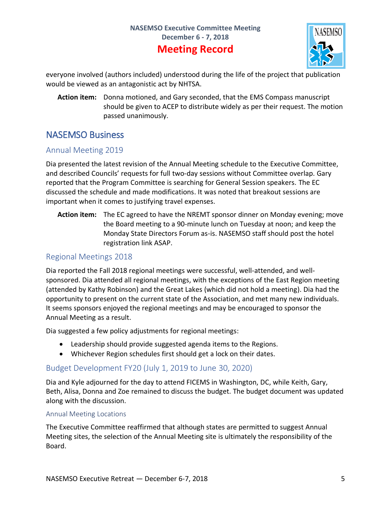

everyone involved (authors included) understood during the life of the project that publication would be viewed as an antagonistic act by NHTSA.

**Action item:** Donna motioned, and Gary seconded, that the EMS Compass manuscript should be given to ACEP to distribute widely as per their request. The motion passed unanimously.

## NASEMSO Business

### Annual Meeting 2019

Dia presented the latest revision of the Annual Meeting schedule to the Executive Committee, and described Councils' requests for full two-day sessions without Committee overlap. Gary reported that the Program Committee is searching for General Session speakers. The EC discussed the schedule and made modifications. It was noted that breakout sessions are important when it comes to justifying travel expenses.

**Action item:** The EC agreed to have the NREMT sponsor dinner on Monday evening; move the Board meeting to a 90-minute lunch on Tuesday at noon; and keep the Monday State Directors Forum as-is. NASEMSO staff should post the hotel registration link ASAP.

### Regional Meetings 2018

Dia reported the Fall 2018 regional meetings were successful, well-attended, and wellsponsored. Dia attended all regional meetings, with the exceptions of the East Region meeting (attended by Kathy Robinson) and the Great Lakes (which did not hold a meeting). Dia had the opportunity to present on the current state of the Association, and met many new individuals. It seems sponsors enjoyed the regional meetings and may be encouraged to sponsor the Annual Meeting as a result.

Dia suggested a few policy adjustments for regional meetings:

- Leadership should provide suggested agenda items to the Regions.
- Whichever Region schedules first should get a lock on their dates.

### Budget Development FY20 (July 1, 2019 to June 30, 2020)

Dia and Kyle adjourned for the day to attend FICEMS in Washington, DC, while Keith, Gary, Beth, Alisa, Donna and Zoe remained to discuss the budget. The budget document was updated along with the discussion.

#### Annual Meeting Locations

The Executive Committee reaffirmed that although states are permitted to suggest Annual Meeting sites, the selection of the Annual Meeting site is ultimately the responsibility of the Board.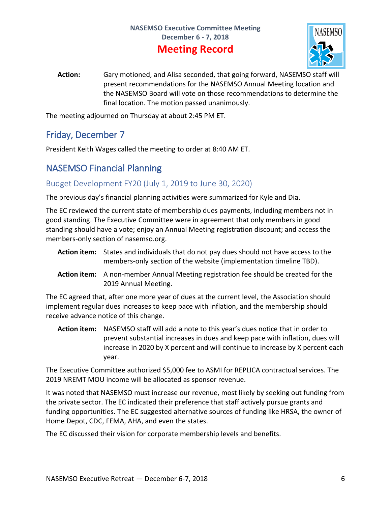

**Action:** Gary motioned, and Alisa seconded, that going forward, NASEMSO staff will present recommendations for the NASEMSO Annual Meeting location and the NASEMSO Board will vote on those recommendations to determine the final location. The motion passed unanimously.

The meeting adjourned on Thursday at about 2:45 PM ET.

## Friday, December 7

President Keith Wages called the meeting to order at 8:40 AM ET.

## NASEMSO Financial Planning

### Budget Development FY20 (July 1, 2019 to June 30, 2020)

The previous day's financial planning activities were summarized for Kyle and Dia.

The EC reviewed the current state of membership dues payments, including members not in good standing. The Executive Committee were in agreement that only members in good standing should have a vote; enjoy an Annual Meeting registration discount; and access the members-only section of nasemso.org.

- **Action item:** States and individuals that do not pay dues should not have access to the members-only section of the website (implementation timeline TBD).
- **Action item:** A non-member Annual Meeting registration fee should be created for the 2019 Annual Meeting.

The EC agreed that, after one more year of dues at the current level, the Association should implement regular dues increases to keep pace with inflation, and the membership should receive advance notice of this change.

**Action item:** NASEMSO staff will add a note to this year's dues notice that in order to prevent substantial increases in dues and keep pace with inflation, dues will increase in 2020 by X percent and will continue to increase by X percent each year.

The Executive Committee authorized \$5,000 fee to ASMI for REPLICA contractual services. The 2019 NREMT MOU income will be allocated as sponsor revenue.

It was noted that NASEMSO must increase our revenue, most likely by seeking out funding from the private sector. The EC indicated their preference that staff actively pursue grants and funding opportunities. The EC suggested alternative sources of funding like HRSA, the owner of Home Depot, CDC, FEMA, AHA, and even the states.

The EC discussed their vision for corporate membership levels and benefits.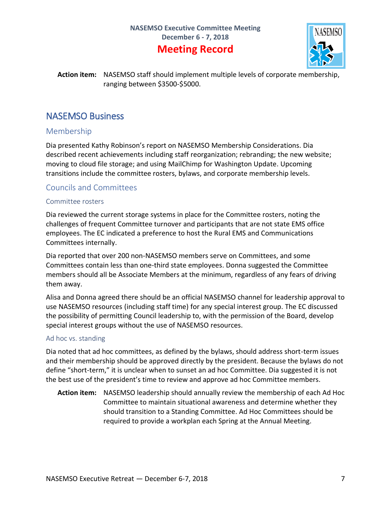

**Action item:** NASEMSO staff should implement multiple levels of corporate membership, ranging between \$3500-\$5000.

## NASEMSO Business

### Membership

Dia presented Kathy Robinson's report on NASEMSO Membership Considerations. Dia described recent achievements including staff reorganization; rebranding; the new website; moving to cloud file storage; and using MailChimp for Washington Update. Upcoming transitions include the committee rosters, bylaws, and corporate membership levels.

### Councils and Committees

#### Committee rosters

Dia reviewed the current storage systems in place for the Committee rosters, noting the challenges of frequent Committee turnover and participants that are not state EMS office employees. The EC indicated a preference to host the Rural EMS and Communications Committees internally.

Dia reported that over 200 non-NASEMSO members serve on Committees, and some Committees contain less than one-third state employees. Donna suggested the Committee members should all be Associate Members at the minimum, regardless of any fears of driving them away.

Alisa and Donna agreed there should be an official NASEMSO channel for leadership approval to use NASEMSO resources (including staff time) for any special interest group. The EC discussed the possibility of permitting Council leadership to, with the permission of the Board, develop special interest groups without the use of NASEMSO resources.

#### Ad hoc vs. standing

Dia noted that ad hoc committees, as defined by the bylaws, should address short-term issues and their membership should be approved directly by the president. Because the bylaws do not define "short-term," it is unclear when to sunset an ad hoc Committee. Dia suggested it is not the best use of the president's time to review and approve ad hoc Committee members.

**Action item:** NASEMSO leadership should annually review the membership of each Ad Hoc Committee to maintain situational awareness and determine whether they should transition to a Standing Committee. Ad Hoc Committees should be required to provide a workplan each Spring at the Annual Meeting.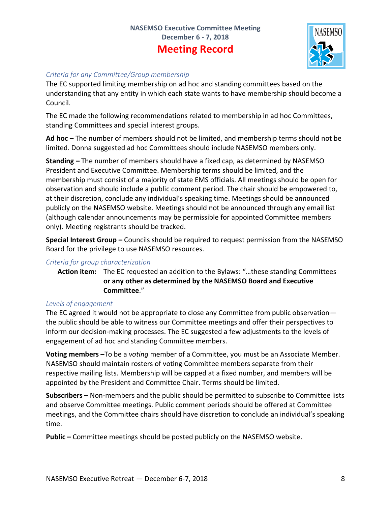

### *Criteria for any Committee/Group membership*

The EC supported limiting membership on ad hoc and standing committees based on the understanding that any entity in which each state wants to have membership should become a Council.

The EC made the following recommendations related to membership in ad hoc Committees, standing Committees and special interest groups.

**Ad hoc –** The number of members should not be limited, and membership terms should not be limited. Donna suggested ad hoc Committees should include NASEMSO members only.

**Standing –** The number of members should have a fixed cap, as determined by NASEMSO President and Executive Committee. Membership terms should be limited, and the membership must consist of a majority of state EMS officials. All meetings should be open for observation and should include a public comment period. The chair should be empowered to, at their discretion, conclude any individual's speaking time. Meetings should be announced publicly on the NASEMSO website. Meetings should not be announced through any email list (although calendar announcements may be permissible for appointed Committee members only). Meeting registrants should be tracked.

**Special Interest Group –** Councils should be required to request permission from the NASEMSO Board for the privilege to use NASEMSO resources.

### *Criteria for group characterization*

**Action item:** The EC requested an addition to the Bylaws: "…these standing Committees **or any other as determined by the NASEMSO Board and Executive Committee**."

### *Levels of engagement*

The EC agreed it would not be appropriate to close any Committee from public observation the public should be able to witness our Committee meetings and offer their perspectives to inform our decision-making processes. The EC suggested a few adjustments to the levels of engagement of ad hoc and standing Committee members.

**Voting members –**To be a *voting* member of a Committee, you must be an Associate Member. NASEMSO should maintain rosters of voting Committee members separate from their respective mailing lists. Membership will be capped at a fixed number, and members will be appointed by the President and Committee Chair. Terms should be limited.

**Subscribers –** Non-members and the public should be permitted to subscribe to Committee lists and observe Committee meetings. Public comment periods should be offered at Committee meetings, and the Committee chairs should have discretion to conclude an individual's speaking time.

**Public –** Committee meetings should be posted publicly on the NASEMSO website.